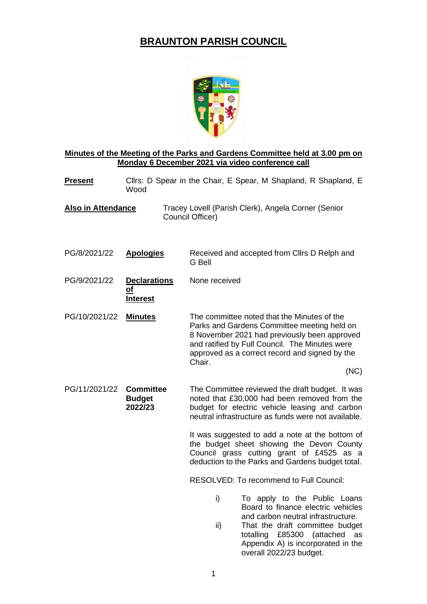## **BRAUNTON PARISH COUNCIL**



## **Minutes of the Meeting of the Parks and Gardens Committee held at 3.00 pm on Monday 6 December 2021 via video conference call**

- **Present** Clirs: D Spear in the Chair, E Spear, M Shapland, R Shapland, E Wood
- **Also in Attendance** Tracey Lovell (Parish Clerk), Angela Corner (Senior Council Officer)
- PG/8/2021/22 **Apologies** Received and accepted from Cllrs D Relph and G Bell
- PG/9/2021/22 **Declarations of Interest** None received
- PG/10/2021/22 **Minutes** The committee noted that the Minutes of the Parks and Gardens Committee meeting held on 8 November 2021 had previously been approved and ratified by Full Council. The Minutes were approved as a correct record and signed by the Chair.

(NC)

PG/11/2021/22 **Committee Budget 2022/23** The Committee reviewed the draft budget. It was noted that £30,000 had been removed from the budget for electric vehicle leasing and carbon neutral infrastructure as funds were not available.

> It was suggested to add a note at the bottom of the budget sheet showing the Devon County Council grass cutting grant of £4525 as a deduction to the Parks and Gardens budget total.

RESOLVED: To recommend to Full Council:

- i) To apply to the Public Loans Board to finance electric vehicles and carbon neutral infrastructure.
- ii) That the draft committee budget totalling £85300 (attached as Appendix A) is incorporated in the overall 2022/23 budget.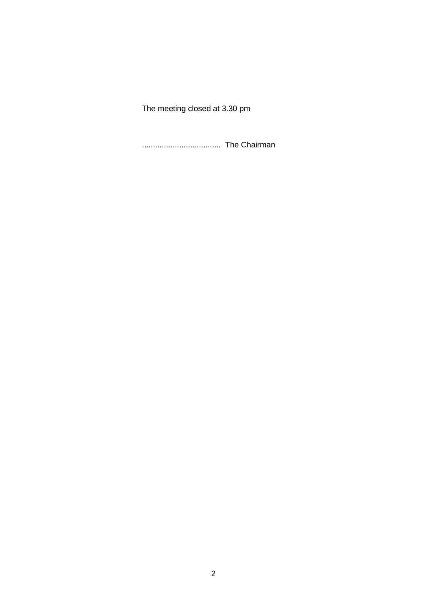The meeting closed at 3.30 pm

.................................... The Chairman